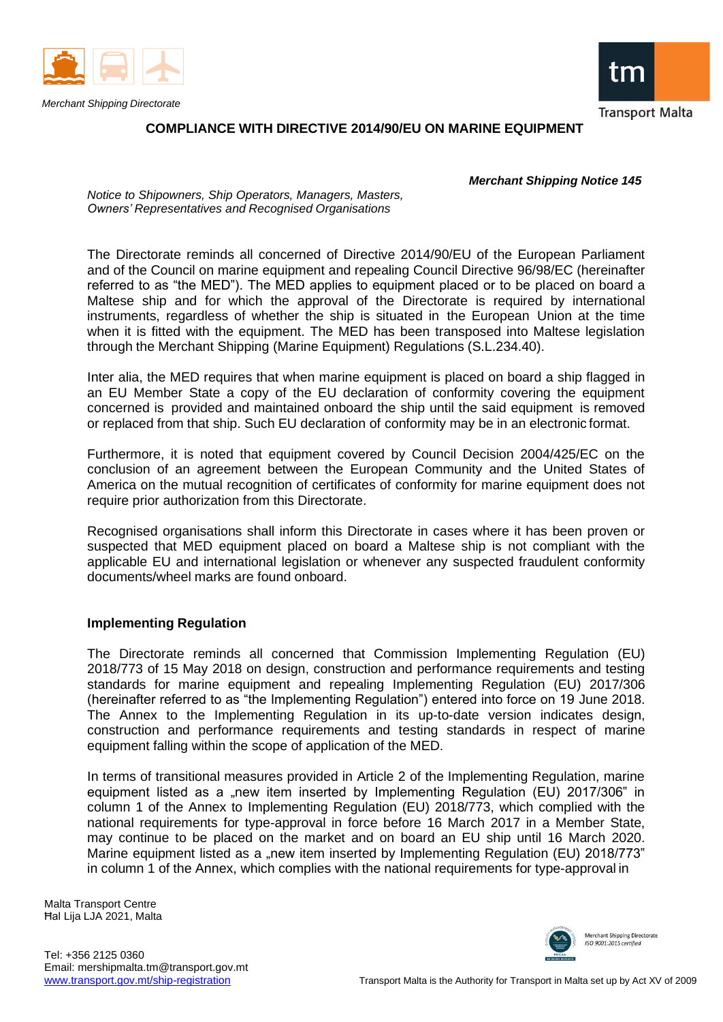

*Merchant Shipping Directorate*



**Transport Malta** 

# **COMPLIANCE WITH DIRECTIVE 2014/90/EU ON MARINE EQUIPMENT**

*Merchant Shipping Notice 145*

*Notice to Shipowners, Ship Operators, Managers, Masters, Owners' Representatives and Recognised Organisations*

The Directorate reminds all concerned of Directive 2014/90/EU of the European Parliament and of the Council on marine equipment and repealing Council Directive 96/98/EC (hereinafter referred to as "the MED"). The MED applies to equipment placed or to be placed on board a Maltese ship and for which the approval of the Directorate is required by international instruments, regardless of whether the ship is situated in the European Union at the time when it is fitted with the equipment. The MED has been transposed into Maltese legislation through the Merchant Shipping (Marine Equipment) Regulations (S.L.234.40).

Inter alia, the MED requires that when marine equipment is placed on board a ship flagged in an EU Member State a copy of the EU declaration of conformity covering the equipment concerned is provided and maintained onboard the ship until the said equipment is removed or replaced from that ship. Such EU declaration of conformity may be in an electronic format.

Furthermore, it is noted that equipment covered by Council Decision 2004/425/EC on the conclusion of an agreement between the European Community and the United States of America on the mutual recognition of certificates of conformity for marine equipment does not require prior authorization from this Directorate.

Recognised organisations shall inform this Directorate in cases where it has been proven or suspected that MED equipment placed on board a Maltese ship is not compliant with the applicable EU and international legislation or whenever any suspected fraudulent conformity documents/wheel marks are found onboard.

### **Implementing Regulation**

The Directorate reminds all concerned that Commission Implementing Regulation (EU) 2018/773 of 15 May 2018 on design, construction and performance requirements and testing standards for marine equipment and repealing Implementing Regulation (EU) 2017/306 (hereinafter referred to as "the Implementing Regulation") entered into force on 19 June 2018. The Annex to the Implementing Regulation in its up-to-date version indicates design, construction and performance requirements and testing standards in respect of marine equipment falling within the scope of application of the MED.

In terms of transitional measures provided in Article 2 of the Implementing Regulation, marine equipment listed as a "new item inserted by Implementing Regulation (EU) 2017/306" in column 1 of the Annex to Implementing Regulation (EU) 2018/773, which complied with the national requirements for type-approval in force before 16 March 2017 in a Member State, may continue to be placed on the market and on board an EU ship until 16 March 2020. Marine equipment listed as a "new item inserted by Implementing Regulation (EU) 2018/773" in column 1 of the Annex, which complies with the national requirements for type-approval in

Malta Transport Centre Ħal Lija LJA 2021, Malta



Merchant Shipping Directorate ISO 9001:2015 certified